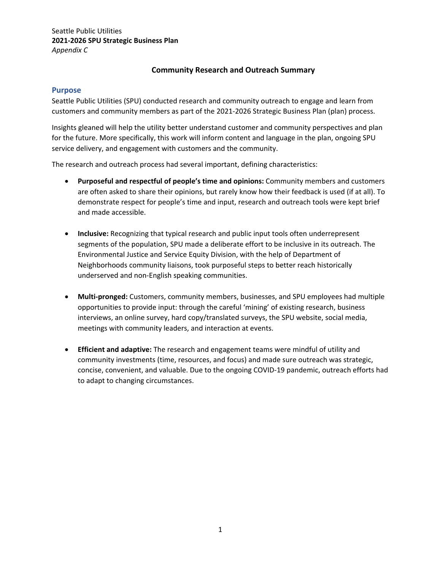# **Community Research and Outreach Summary**

#### **Purpose**

Seattle Public Utilities (SPU) conducted research and community outreach to engage and learn from customers and community members as part of the 2021‐2026 Strategic Business Plan (plan) process.

Insights gleaned will help the utility better understand customer and community perspectives and plan for the future. More specifically, this work will inform content and language in the plan, ongoing SPU service delivery, and engagement with customers and the community.

The research and outreach process had several important, defining characteristics:

- **Purposeful and respectful of people's time and opinions:** Community members and customers are often asked to share their opinions, but rarely know how their feedback is used (if at all). To demonstrate respect for people's time and input, research and outreach tools were kept brief and made accessible.
- **Inclusive:** Recognizing that typical research and public input tools often underrepresent segments of the population, SPU made a deliberate effort to be inclusive in its outreach. The Environmental Justice and Service Equity Division, with the help of Department of Neighborhoods community liaisons, took purposeful steps to better reach historically underserved and non‐English speaking communities.
- **Multi‐pronged:** Customers, community members, businesses, and SPU employees had multiple opportunities to provide input: through the careful 'mining' of existing research, business interviews, an online survey, hard copy/translated surveys, the SPU website, social media, meetings with community leaders, and interaction at events.
- **Efficient and adaptive:** The research and engagement teams were mindful of utility and community investments (time, resources, and focus) and made sure outreach was strategic, concise, convenient, and valuable. Due to the ongoing COVID‐19 pandemic, outreach efforts had to adapt to changing circumstances.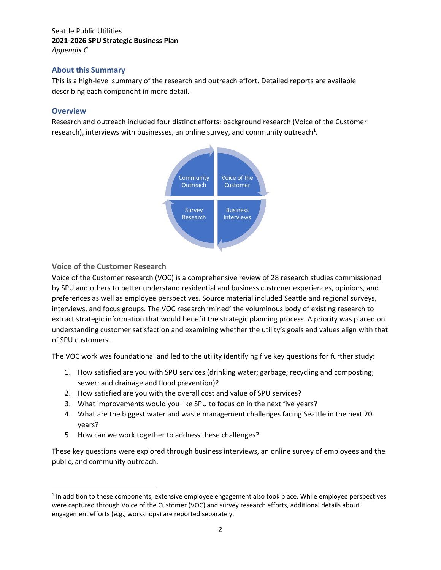# Seattle Public Utilities **2021‐2026 SPU Strategic Business Plan**  *Appendix C*

# **About this Summary**

This is a high‐level summary of the research and outreach effort. Detailed reports are available describing each component in more detail.

## **Overview**

Research and outreach included four distinct efforts: background research (Voice of the Customer research), interviews with businesses, an online survey, and community outreach<sup>1</sup>.



# **Voice of the Customer Research**

Voice of the Customer research (VOC) is a comprehensive review of 28 research studies commissioned by SPU and others to better understand residential and business customer experiences, opinions, and preferences as well as employee perspectives. Source material included Seattle and regional surveys, interviews, and focus groups. The VOC research 'mined' the voluminous body of existing research to extract strategic information that would benefit the strategic planning process. A priority was placed on understanding customer satisfaction and examining whether the utility's goals and values align with that of SPU customers.

The VOC work was foundational and led to the utility identifying five key questions for further study:

- 1. How satisfied are you with SPU services (drinking water; garbage; recycling and composting; sewer; and drainage and flood prevention)?
- 2. How satisfied are you with the overall cost and value of SPU services?
- 3. What improvements would you like SPU to focus on in the next five years?
- 4. What are the biggest water and waste management challenges facing Seattle in the next 20 years?
- 5. How can we work together to address these challenges?

These key questions were explored through business interviews, an online survey of employees and the public, and community outreach.

 $<sup>1</sup>$  In addition to these components, extensive employee engagement also took place. While employee perspectives</sup> were captured through Voice of the Customer (VOC) and survey research efforts, additional details about engagement efforts (e.g., workshops) are reported separately.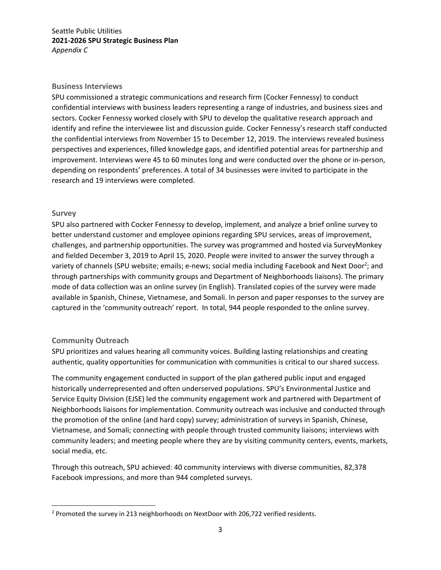## Seattle Public Utilities **2021‐2026 SPU Strategic Business Plan**  *Appendix C*

#### **Business Interviews**

SPU commissioned a strategic communications and research firm (Cocker Fennessy) to conduct confidential interviews with business leaders representing a range of industries, and business sizes and sectors. Cocker Fennessy worked closely with SPU to develop the qualitative research approach and identify and refine the interviewee list and discussion guide. Cocker Fennessy's research staff conducted the confidential interviews from November 15 to December 12, 2019. The interviews revealed business perspectives and experiences, filled knowledge gaps, and identified potential areas for partnership and improvement. Interviews were 45 to 60 minutes long and were conducted over the phone or in‐person, depending on respondents' preferences. A total of 34 businesses were invited to participate in the research and 19 interviews were completed.

#### **Survey**

SPU also partnered with Cocker Fennessy to develop, implement, and analyze a brief online survey to better understand customer and employee opinions regarding SPU services, areas of improvement, challenges, and partnership opportunities. The survey was programmed and hosted via SurveyMonkey and fielded December 3, 2019 to April 15, 2020. People were invited to answer the survey through a variety of channels (SPU website; emails; e-news; social media including Facebook and Next Door<sup>2</sup>; and through partnerships with community groups and Department of Neighborhoods liaisons). The primary mode of data collection was an online survey (in English). Translated copies of the survey were made available in Spanish, Chinese, Vietnamese, and Somali. In person and paper responses to the survey are captured in the 'community outreach' report. In total, 944 people responded to the online survey.

#### **Community Outreach**

SPU prioritizes and values hearing all community voices. Building lasting relationships and creating authentic, quality opportunities for communication with communities is critical to our shared success.

The community engagement conducted in support of the plan gathered public input and engaged historically underrepresented and often underserved populations. SPU's Environmental Justice and Service Equity Division (EJSE) led the community engagement work and partnered with Department of Neighborhoods liaisons for implementation. Community outreach was inclusive and conducted through the promotion of the online (and hard copy) survey; administration of surveys in Spanish, Chinese, Vietnamese, and Somali; connecting with people through trusted community liaisons; interviews with community leaders; and meeting people where they are by visiting community centers, events, markets, social media, etc.

Through this outreach, SPU achieved: 40 community interviews with diverse communities, 82,378 Facebook impressions, and more than 944 completed surveys.

<sup>&</sup>lt;sup>2</sup> Promoted the survey in 213 neighborhoods on NextDoor with 206,722 verified residents.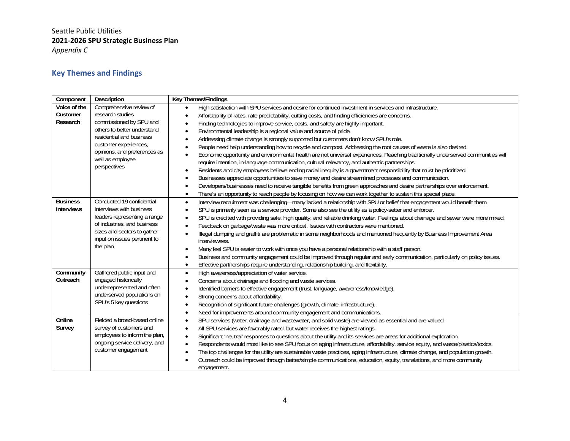# Seattle Public Utilities **2021‐2026 SPU Strategic Business Plan**  *Appendix C*

# **Key Themes and Findings**

| Component                            | Description                                                                                                                                                                                     | <b>Key Themes/Findings</b>                                                                                                                                                                                                                                                                                                                                                                                                                                                                                                                                                                                                                                                                                                                                                                                                                                                                                                                                                                                               |
|--------------------------------------|-------------------------------------------------------------------------------------------------------------------------------------------------------------------------------------------------|--------------------------------------------------------------------------------------------------------------------------------------------------------------------------------------------------------------------------------------------------------------------------------------------------------------------------------------------------------------------------------------------------------------------------------------------------------------------------------------------------------------------------------------------------------------------------------------------------------------------------------------------------------------------------------------------------------------------------------------------------------------------------------------------------------------------------------------------------------------------------------------------------------------------------------------------------------------------------------------------------------------------------|
| Voice of the<br>Customer<br>Research | Comprehensive review of<br>research studies<br>commissioned by SPU and                                                                                                                          | High satisfaction with SPU services and desire for continued investment in services and infrastructure.<br>$\bullet$<br>Affordability of rates, rate predictability, cutting costs, and finding efficiencies are concerns.<br>$\bullet$<br>Finding technologies to improve service, costs, and safety are highly important.<br>$\bullet$                                                                                                                                                                                                                                                                                                                                                                                                                                                                                                                                                                                                                                                                                 |
|                                      | others to better understand<br>residential and business<br>customer experiences,<br>opinions, and preferences as<br>well as employee<br>perspectives                                            | Environmental leadership is a regional value and source of pride.<br>Addressing climate change is strongly supported but customers don't know SPU's role.<br>People need help understanding how to recycle and compost. Addressing the root causes of waste is also desired.<br>Economic opportunity and environmental health are not universal experiences. Reaching traditionally underserved communities will<br>require intention, in-language communication, cultural relevancy, and authentic partnerships.<br>Residents and city employees believe ending racial inequity is a government responsibility that must be prioritized.<br>$\bullet$<br>Businesses appreciate opportunities to save money and desire streamlined processes and communication.<br>Developers/businesses need to receive tangible benefits from green approaches and desire partnerships over enforcement.<br>There's an opportunity to reach people by focusing on how we can work together to sustain this special place.<br>$\bullet$ |
| <b>Business</b><br><b>Interviews</b> | Conducted 19 confidential<br>interviews with business<br>leaders representing a range<br>of industries, and business<br>sizes and sectors to gather<br>input on issues pertinent to<br>the plan | Interview recruitment was challenging-many lacked a relationship with SPU or belief that engagement would benefit them.<br>$\bullet$<br>SPU is primarily seen as a service provider. Some also see the utility as a policy-setter and enforcer.<br>$\bullet$<br>SPU is credited with providing safe, high quality, and reliable drinking water. Feelings about drainage and sewer were more mixed.<br>$\bullet$<br>Feedback on garbage/waste was more critical. Issues with contractors were mentioned.<br>Illegal dumping and graffiti are problematic in some neighborhoods and mentioned frequently by Business Improvement Area<br>interviewees.<br>Many feel SPU is easier to work with once you have a personal relationship with a staff person.<br>$\bullet$<br>Business and community engagement could be improved through regular and early communication, particularly on policy issues.<br>Effective partnerships require understanding, relationship building, and flexibility.<br>$\bullet$                |
| Community<br>Outreach                | Gathered public input and<br>engaged historically<br>underrepresented and often<br>underserved populations on<br>SPU's 5 key questions                                                          | High awareness/appreciation of water service.<br>$\bullet$<br>Concerns about drainage and flooding and waste services.<br>$\bullet$<br>Identified barriers to effective engagement (trust, language, awareness/knowledge).<br>Strong concerns about affordability.<br>Recognition of significant future challenges (growth, climate, infrastructure).<br>Need for improvements around community engagement and communications.<br>$\bullet$                                                                                                                                                                                                                                                                                                                                                                                                                                                                                                                                                                              |
| Online<br>Survey                     | Fielded a broad-based online<br>survey of customers and<br>employees to inform the plan,<br>ongoing service delivery, and<br>customer engagement                                                | SPU services (water, drainage and wastewater, and solid waste) are viewed as essential and are valued.<br>$\bullet$<br>All SPU services are favorably rated; but water receives the highest ratings.<br>$\bullet$<br>Significant 'neutral' responses to questions about the utility and its services are areas for additional exploration.<br>$\bullet$<br>Respondents would most like to see SPU focus on aging infrastructure, affordability, service equity, and waste/plastics/toxics.<br>The top challenges for the utility are sustainable waste practices, aging infrastructure, climate change, and population growth.<br>Outreach could be improved through better/simple communications, education, equity, translations, and more community<br>engagement.                                                                                                                                                                                                                                                    |